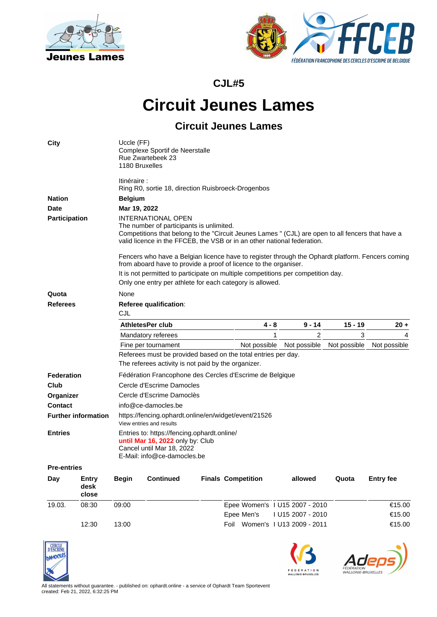



**CJL#5**

## **Circuit Jeunes Lames**

## **Circuit Jeunes Lames**

| City                                         |                               | Uccle (FF)<br>Complexe Sportif de Neerstalle<br>Rue Zwartebeek 23<br>1180 Bruxelles                                                                                                                                                                                                                                                                                                              |                         |  |                                |   |                   |              |                  |  |  |  |
|----------------------------------------------|-------------------------------|--------------------------------------------------------------------------------------------------------------------------------------------------------------------------------------------------------------------------------------------------------------------------------------------------------------------------------------------------------------------------------------------------|-------------------------|--|--------------------------------|---|-------------------|--------------|------------------|--|--|--|
|                                              |                               | ltinéraire :<br>Ring R0, sortie 18, direction Ruisbroeck-Drogenbos                                                                                                                                                                                                                                                                                                                               |                         |  |                                |   |                   |              |                  |  |  |  |
| <b>Nation</b>                                |                               | <b>Belgium</b>                                                                                                                                                                                                                                                                                                                                                                                   |                         |  |                                |   |                   |              |                  |  |  |  |
| <b>Date</b>                                  |                               | Mar 19, 2022                                                                                                                                                                                                                                                                                                                                                                                     |                         |  |                                |   |                   |              |                  |  |  |  |
| Participation                                |                               | INTERNATIONAL OPEN                                                                                                                                                                                                                                                                                                                                                                               |                         |  |                                |   |                   |              |                  |  |  |  |
|                                              |                               | The number of participants is unlimited.<br>Competitions that belong to the "Circuit Jeunes Lames " (CJL) are open to all fencers that have a<br>valid licence in the FFCEB, the VSB or in an other national federation.<br>Fencers who have a Belgian licence have to register through the Ophardt platform. Fencers coming<br>from aboard have to provide a proof of licence to the organiser. |                         |  |                                |   |                   |              |                  |  |  |  |
|                                              |                               |                                                                                                                                                                                                                                                                                                                                                                                                  |                         |  |                                |   |                   |              |                  |  |  |  |
|                                              |                               | It is not permitted to participate on multiple competitions per competition day.<br>Only one entry per athlete for each category is allowed.                                                                                                                                                                                                                                                     |                         |  |                                |   |                   |              |                  |  |  |  |
| Quota                                        |                               | None                                                                                                                                                                                                                                                                                                                                                                                             |                         |  |                                |   |                   |              |                  |  |  |  |
| <b>Referees</b>                              |                               | Referee qualification:                                                                                                                                                                                                                                                                                                                                                                           |                         |  |                                |   |                   |              |                  |  |  |  |
|                                              |                               | CJL                                                                                                                                                                                                                                                                                                                                                                                              |                         |  |                                |   |                   |              |                  |  |  |  |
|                                              |                               |                                                                                                                                                                                                                                                                                                                                                                                                  | <b>AthletesPer club</b> |  | 4 - 8                          |   | $9 - 14$          | 15 - 19      | $20 +$           |  |  |  |
|                                              |                               |                                                                                                                                                                                                                                                                                                                                                                                                  | Mandatory referees      |  |                                | 1 | 2                 | 3            | 4                |  |  |  |
|                                              |                               |                                                                                                                                                                                                                                                                                                                                                                                                  | Fine per tournament     |  | Not possible                   |   | Not possible      | Not possible | Not possible     |  |  |  |
|                                              |                               | Referees must be provided based on the total entries per day.                                                                                                                                                                                                                                                                                                                                    |                         |  |                                |   |                   |              |                  |  |  |  |
|                                              |                               | The referees activity is not paid by the organizer.                                                                                                                                                                                                                                                                                                                                              |                         |  |                                |   |                   |              |                  |  |  |  |
| Federation                                   |                               | Fédération Francophone des Cercles d'Escrime de Belgique                                                                                                                                                                                                                                                                                                                                         |                         |  |                                |   |                   |              |                  |  |  |  |
| Club                                         |                               | Cercle d'Escrime Damocles                                                                                                                                                                                                                                                                                                                                                                        |                         |  |                                |   |                   |              |                  |  |  |  |
| Organizer                                    |                               | Cercle d'Escrime Damoclès                                                                                                                                                                                                                                                                                                                                                                        |                         |  |                                |   |                   |              |                  |  |  |  |
| <b>Contact</b>                               |                               | info@ce-damocles.be                                                                                                                                                                                                                                                                                                                                                                              |                         |  |                                |   |                   |              |                  |  |  |  |
| <b>Further information</b><br><b>Entries</b> |                               | https://fencing.ophardt.online/en/widget/event/21526<br>View entries and results                                                                                                                                                                                                                                                                                                                 |                         |  |                                |   |                   |              |                  |  |  |  |
|                                              |                               | Entries to: https://fencing.ophardt.online/<br>until Mar 16, 2022 only by: Club<br>Cancel until Mar 18, 2022<br>E-Mail: info@ce-damocles.be                                                                                                                                                                                                                                                      |                         |  |                                |   |                   |              |                  |  |  |  |
| <b>Pre-entries</b>                           |                               |                                                                                                                                                                                                                                                                                                                                                                                                  |                         |  |                                |   |                   |              |                  |  |  |  |
| Day                                          | <b>Entry</b><br>desk<br>close | <b>Begin</b>                                                                                                                                                                                                                                                                                                                                                                                     | <b>Continued</b>        |  | <b>Finals Competition</b>      |   | allowed           | Quota        | <b>Entry fee</b> |  |  |  |
| 19.03.                                       | 08:30                         | 09:00                                                                                                                                                                                                                                                                                                                                                                                            |                         |  | Epee Women's 1 U15 2007 - 2010 |   |                   |              | €15.00           |  |  |  |
|                                              |                               |                                                                                                                                                                                                                                                                                                                                                                                                  |                         |  | Epee Men's                     |   | I U15 2007 - 2010 |              | €15.00           |  |  |  |
|                                              | 12:30                         | 13:00                                                                                                                                                                                                                                                                                                                                                                                            |                         |  | Foil Women's I U13 2009 - 2011 |   |                   |              | €15.00           |  |  |  |